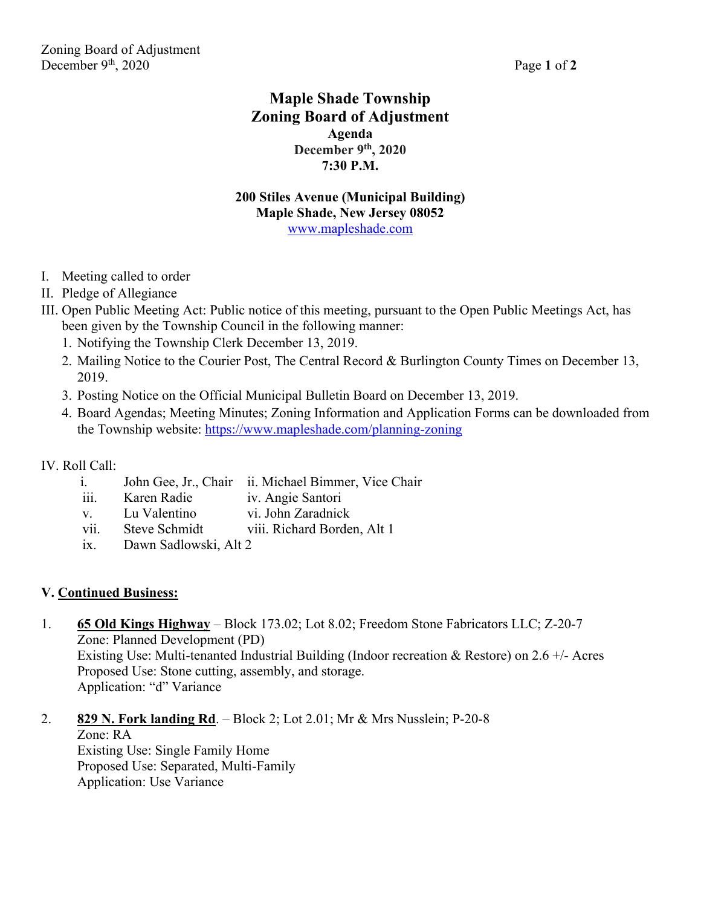# **Maple Shade Township Zoning Board of Adjustment Agenda December 9th, 2020 7:30 P.M.**

#### **200 Stiles Avenue (Municipal Building) Maple Shade, New Jersey 08052**  www.mapleshade.com

- I. Meeting called to order
- II. Pledge of Allegiance
- III. Open Public Meeting Act: Public notice of this meeting, pursuant to the Open Public Meetings Act, has been given by the Township Council in the following manner:
	- 1. Notifying the Township Clerk December 13, 2019.
	- 2. Mailing Notice to the Courier Post, The Central Record & Burlington County Times on December 13, 2019.
	- 3. Posting Notice on the Official Municipal Bulletin Board on December 13, 2019.
	- 4. Board Agendas; Meeting Minutes; Zoning Information and Application Forms can be downloaded from the Township website: https://www.mapleshade.com/planning-zoning

## IV. Roll Call:

- i. John Gee, Jr., Chair ii. Michael Bimmer, Vice Chair
- iii. Karen Radie iv. Angie Santori
- v. Lu Valentino vi. John Zaradnick
- vii. Steve Schmidt viii. Richard Borden, Alt 1
- ix. Dawn Sadlowski, Alt 2

## **V. Continued Business:**

- 1. **65 Old Kings Highway** Block 173.02; Lot 8.02; Freedom Stone Fabricators LLC; Z-20-7 Zone: Planned Development (PD) Existing Use: Multi-tenanted Industrial Building (Indoor recreation & Restore) on 2.6  $+/-$  Acres Proposed Use: Stone cutting, assembly, and storage. Application: "d" Variance
- 2. **829 N. Fork landing Rd**. Block 2; Lot 2.01; Mr & Mrs Nusslein; P-20-8 Zone: RA Existing Use: Single Family Home Proposed Use: Separated, Multi-Family Application: Use Variance